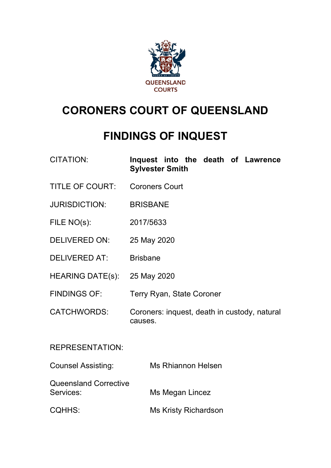

# **CORONERS COURT OF QUEENSLAND**

# **FINDINGS OF INQUEST**

| CITATION: |                        |  |  |  | Inquest into the death of Lawrence |
|-----------|------------------------|--|--|--|------------------------------------|
|           | <b>Sylvester Smith</b> |  |  |  |                                    |

- TITLE OF COURT: Coroners Court
- JURISDICTION: BRISBANE
- FILE NO(s): 2017/5633
- DELIVERED ON: 25 May 2020
- DELIVERED AT: Brisbane
- HEARING DATE(s): 25 May 2020
- FINDINGS OF: Terry Ryan, State Coroner
- CATCHWORDS: Coroners: inquest, death in custody, natural causes.

REPRESENTATION:

| <b>Counsel Assisting:</b>                 | Ms Rhiannon Helsen   |
|-------------------------------------------|----------------------|
| <b>Queensland Corrective</b><br>Services: | Ms Megan Lincez      |
| <b>CQHHS:</b>                             | Ms Kristy Richardson |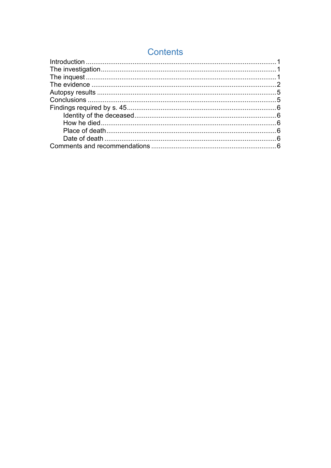# **Contents**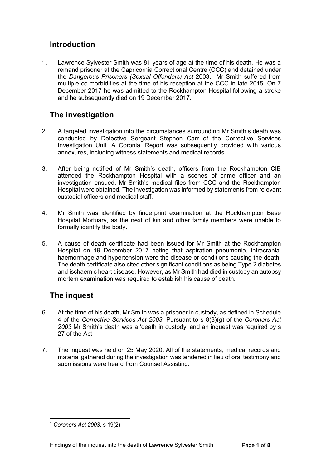#### <span id="page-2-0"></span>**Introduction**

1. Lawrence Sylvester Smith was 81 years of age at the time of his death. He was a remand prisoner at the Capricornia Correctional Centre (CCC) and detained under the *Dangerous Prisoners (Sexual Offenders) Act* 2003. Mr Smith suffered from multiple co-morbidities at the time of his reception at the CCC in late 2015. On 7 December 2017 he was admitted to the Rockhampton Hospital following a stroke and he subsequently died on 19 December 2017.

## <span id="page-2-1"></span>**The investigation**

- 2. A targeted investigation into the circumstances surrounding Mr Smith's death was conducted by Detective Sergeant Stephen Carr of the Corrective Services Investigation Unit. A Coronial Report was subsequently provided with various annexures, including witness statements and medical records.
- 3. After being notified of Mr Smith's death, officers from the Rockhampton CIB attended the Rockhampton Hospital with a scenes of crime officer and an investigation ensued. Mr Smith's medical files from CCC and the Rockhampton Hospital were obtained. The investigation was informed by statements from relevant custodial officers and medical staff.
- 4. Mr Smith was identified by fingerprint examination at the Rockhampton Base Hospital Mortuary, as the next of kin and other family members were unable to formally identify the body.
- 5. A cause of death certificate had been issued for Mr Smith at the Rockhampton Hospital on 19 December 2017 noting that aspiration pneumonia, intracranial haemorrhage and hypertension were the disease or conditions causing the death. The death certificate also cited other significant conditions as being Type 2 diabetes and ischaemic heart disease. However, as Mr Smith had died in custody an autopsy mortem examination was required to establish his cause of death.<sup>[1](#page-2-3)</sup>

### <span id="page-2-2"></span>**The inquest**

- 6. At the time of his death, Mr Smith was a prisoner in custody, as defined in Schedule 4 of the *Corrective Services Act 2003.* Pursuant to s 8(3)(g) of the *Coroners Act 2003* Mr Smith's death was a 'death in custody' and an inquest was required by s 27 of the Act.
- 7. The inquest was held on 25 May 2020. All of the statements, medical records and material gathered during the investigation was tendered in lieu of oral testimony and submissions were heard from Counsel Assisting.

<span id="page-2-3"></span><sup>1</sup> *Coroners Act 2003*, s 19(2)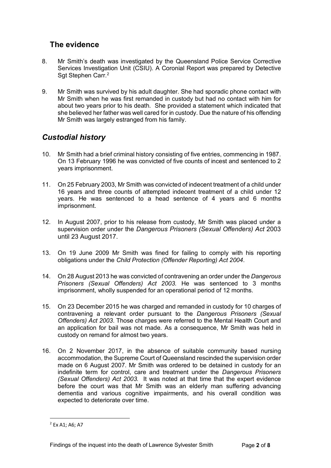### <span id="page-3-0"></span>**The evidence**

- 8. Mr Smith's death was investigated by the Queensland Police Service Corrective Services Investigation Unit (CSIU). A Coronial Report was prepared by Detective Sgt Stephen Carr. [2](#page-3-1)
- 9. Mr Smith was survived by his adult daughter. She had sporadic phone contact with Mr Smith when he was first remanded in custody but had no contact with him for about two years prior to his death. She provided a statement which indicated that she believed her father was well cared for in custody. Due the nature of his offending Mr Smith was largely estranged from his family.

#### *Custodial history*

- 10. Mr Smith had a brief criminal history consisting of five entries, commencing in 1987. On 13 February 1996 he was convicted of five counts of incest and sentenced to 2 years imprisonment.
- 11. On 25 February 2003, Mr Smith was convicted of indecent treatment of a child under 16 years and three counts of attempted indecent treatment of a child under 12 years. He was sentenced to a head sentence of 4 years and 6 months imprisonment.
- 12. In August 2007, prior to his release from custody, Mr Smith was placed under a supervision order under the *Dangerous Prisoners (Sexual Offenders) Act* 2003 until 23 August 2017.
- 13. On 19 June 2009 Mr Smith was fined for failing to comply with his reporting obligations under the *Child Protection (Offender Reporting) Act 2004*.
- 14. On 28 August 2013 he was convicted of contravening an order under the *Dangerous Prisoners (Sexual Offenders) Act 2003.* He was sentenced to 3 months imprisonment, wholly suspended for an operational period of 12 months.
- 15. On 23 December 2015 he was charged and remanded in custody for 10 charges of contravening a relevant order pursuant to the *Dangerous Prisoners (Sexual Offenders) Act 2003*. Those charges were referred to the Mental Health Court and an application for bail was not made. As a consequence, Mr Smith was held in custody on remand for almost two years.
- 16. On 2 November 2017, in the absence of suitable community based nursing accommodation, the Supreme Court of Queensland rescinded the supervision order made on 6 August 2007. Mr Smith was ordered to be detained in custody for an indefinite term for control, care and treatment under the *Dangerous Prisoners (Sexual Offenders) Act 2003.* It was noted at that time that the expert evidence before the court was that Mr Smith was an elderly man suffering advancing dementia and various cognitive impairments, and his overall condition was expected to deteriorate over time.

<span id="page-3-1"></span> $2$  Fx A1; A6; A7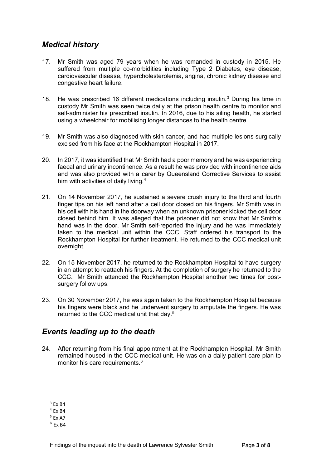#### *Medical history*

- 17. Mr Smith was aged 79 years when he was remanded in custody in 2015. He suffered from multiple co-morbidities including Type 2 Diabetes, eye disease, cardiovascular disease, hypercholesterolemia, angina, chronic kidney disease and congestive heart failure.
- 18. He was prescribed 16 different medications including insulin.[3](#page-4-0) During his time in custody Mr Smith was seen twice daily at the prison health centre to monitor and self-administer his prescribed insulin. In 2016, due to his ailing health, he started using a wheelchair for mobilising longer distances to the health centre.
- 19. Mr Smith was also diagnosed with skin cancer, and had multiple lesions surgically excised from his face at the Rockhampton Hospital in 2017.
- 20. In 2017, it was identified that Mr Smith had a poor memory and he was experiencing faecal and urinary incontinence. As a result he was provided with incontinence aids and was also provided with a carer by Queensland Corrective Services to assist him with activities of daily living.<sup>[4](#page-4-1)</sup>
- 21. On 14 November 2017, he sustained a severe crush injury to the third and fourth finger tips on his left hand after a cell door closed on his fingers. Mr Smith was in his cell with his hand in the doorway when an unknown prisoner kicked the cell door closed behind him. It was alleged that the prisoner did not know that Mr Smith's hand was in the door. Mr Smith self-reported the injury and he was immediately taken to the medical unit within the CCC. Staff ordered his transport to the Rockhampton Hospital for further treatment. He returned to the CCC medical unit overnight.
- 22. On 15 November 2017, he returned to the Rockhampton Hospital to have surgery in an attempt to reattach his fingers. At the completion of surgery he returned to the CCC. Mr Smith attended the Rockhampton Hospital another two times for postsurgery follow ups.
- 23. On 30 November 2017, he was again taken to the Rockhampton Hospital because his fingers were black and he underwent surgery to amputate the fingers. He was returned to the CCC medical unit that day. [5](#page-4-2)

#### *Events leading up to the death*

24. After returning from his final appointment at the Rockhampton Hospital, Mr Smith remained housed in the CCC medical unit. He was on a daily patient care plan to monitor his care requirements.<sup>[6](#page-4-3)</sup>

 $3$  Fx B4

<span id="page-4-1"></span><span id="page-4-0"></span> $4$  Fx R4

<span id="page-4-2"></span><sup>5</sup> Ex A7

<span id="page-4-3"></span> $6$  Fx R4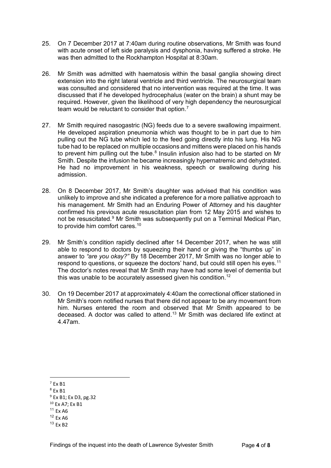- 25. On 7 December 2017 at 7:40am during routine observations, Mr Smith was found with acute onset of left side paralysis and dysphonia, having suffered a stroke. He was then admitted to the Rockhampton Hospital at 8:30am.
- 26. Mr Smith was admitted with haematosis within the basal ganglia showing direct extension into the right lateral ventricle and third ventricle. The neurosurgical team was consulted and considered that no intervention was required at the time. It was discussed that if he developed hydrocephalus (water on the brain) a shunt may be required. However, given the likelihood of very high dependency the neurosurgical team would be reluctant to consider that option.<sup>[7](#page-5-0)</sup>
- 27. Mr Smith required nasogastric (NG) feeds due to a severe swallowing impairment. He developed aspiration pneumonia which was thought to be in part due to him pulling out the NG tube which led to the feed going directly into his lung. His NG tube had to be replaced on multiple occasions and mittens were placed on his hands to prevent him pulling out the tube.<sup>[8](#page-5-1)</sup> Insulin infusion also had to be started on Mr Smith. Despite the infusion he became increasingly hypernatremic and dehydrated. He had no improvement in his weakness, speech or swallowing during his admission.
- 28. On 8 December 2017, Mr Smith's daughter was advised that his condition was unlikely to improve and she indicated a preference for a more palliative approach to his management. Mr Smith had an Enduring Power of Attorney and his daughter confirmed his previous acute resuscitation plan from 12 May 2015 and wishes to not be resuscitated.<sup>9</sup> Mr Smith was subsequently put on a Terminal Medical Plan, to provide him comfort cares.<sup>[10](#page-5-3)</sup>
- 29. Mr Smith's condition rapidly declined after 14 December 2017, when he was still able to respond to doctors by squeezing their hand or giving the "thumbs up" in answer to *"are you okay?"* By 18 December 2017, Mr Smith was no longer able to respond to questions, or squeeze the doctors' hand, but could still open his eyes.<sup>[11](#page-5-4)</sup> The doctor's notes reveal that Mr Smith may have had some level of dementia but this was unable to be accurately assessed given his condition.<sup>[12](#page-5-5)</sup>
- 30. On 19 December 2017 at approximately 4:40am the correctional officer stationed in Mr Smith's room notified nurses that there did not appear to be any movement from him. Nurses entered the room and observed that Mr Smith appeared to be deceased. A doctor was called to attend.[13](#page-5-6) Mr Smith was declared life extinct at 4.47am.

<span id="page-5-3"></span><sup>10</sup> Ex A7; Ex B1

<span id="page-5-0"></span> $7$  Ex B1

<span id="page-5-1"></span> $8$  Fx R1

<span id="page-5-2"></span><sup>9</sup> Ex B1; Ex D3, pg.32

<span id="page-5-4"></span><sup>11</sup> Ex A6

<span id="page-5-5"></span> $12$  Ex A6

<span id="page-5-6"></span><sup>13</sup> Ex B2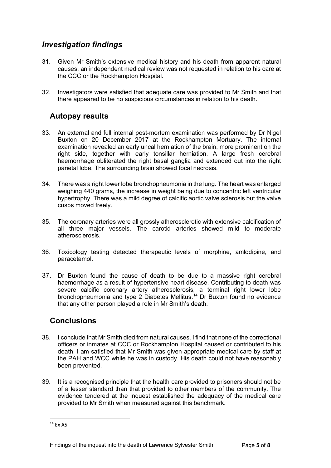#### *Investigation findings*

- 31. Given Mr Smith's extensive medical history and his death from apparent natural causes, an independent medical review was not requested in relation to his care at the CCC or the Rockhampton Hospital.
- 32. Investigators were satisfied that adequate care was provided to Mr Smith and that there appeared to be no suspicious circumstances in relation to his death.

#### <span id="page-6-0"></span>**Autopsy results**

- 33. An external and full internal post-mortem examination was performed by Dr Nigel Buxton on 20 December 2017 at the Rockhampton Mortuary. The internal examination revealed an early uncal herniation of the brain, more prominent on the right side, together with early tonsillar herniation. A large fresh cerebral haemorrhage obliterated the right basal ganglia and extended out into the right parietal lobe. The surrounding brain showed focal necrosis.
- 34. There was a right lower lobe bronchopneumonia in the lung. The heart was enlarged weighing 440 grams, the increase in weight being due to concentric left ventricular hypertrophy. There was a mild degree of calcific aortic valve sclerosis but the valve cusps moved freely.
- 35. The coronary arteries were all grossly atherosclerotic with extensive calcification of all three major vessels. The carotid arteries showed mild to moderate atherosclerosis.
- 36. Toxicology testing detected therapeutic levels of morphine, amlodipine, and paracetamol.
- 37. Dr Buxton found the cause of death to be due to a massive right cerebral haemorrhage as a result of hypertensive heart disease. Contributing to death was severe calcific coronary artery atherosclerosis, a terminal right lower lobe bronchopneumonia and type 2 Diabetes Mellitus.[14](#page-6-2) Dr Buxton found no evidence that any other person played a role in Mr Smith's death.

#### <span id="page-6-1"></span>**Conclusions**

- 38. I conclude that Mr Smith died from natural causes. I find that none of the correctional officers or inmates at CCC or Rockhampton Hospital caused or contributed to his death. I am satisfied that Mr Smith was given appropriate medical care by staff at the PAH and WCC while he was in custody. His death could not have reasonably been prevented.
- 39. It is a recognised principle that the health care provided to prisoners should not be of a lesser standard than that provided to other members of the community. The evidence tendered at the inquest established the adequacy of the medical care provided to Mr Smith when measured against this benchmark.

<span id="page-6-2"></span><sup>14</sup> Ex A5